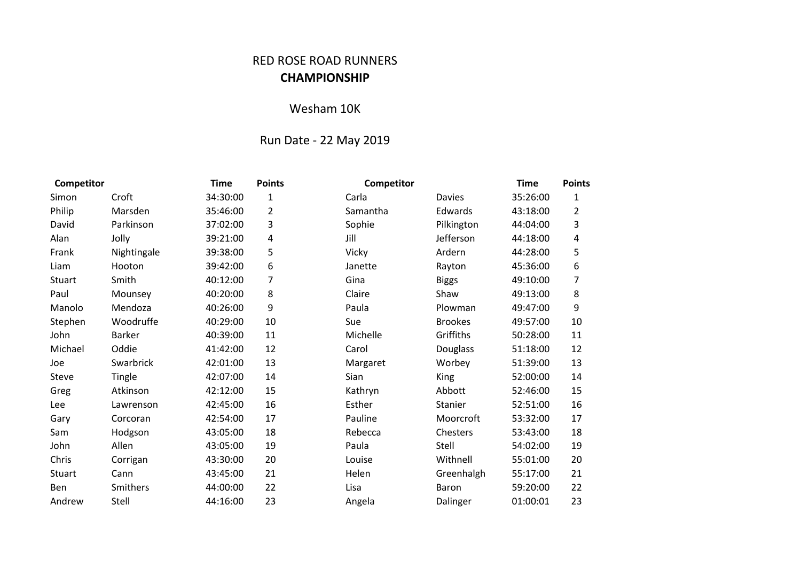## RED ROSE ROAD RUNNERS **CHAMPIONSHIP**

## Wesham 10K

## Run Date - 22 May 2019

| Competitor |               | <b>Time</b> | <b>Points</b>           | Competitor |                | <b>Time</b> | <b>Points</b>           |
|------------|---------------|-------------|-------------------------|------------|----------------|-------------|-------------------------|
| Simon      | Croft         | 34:30:00    | $\mathbf{1}$            | Carla      | <b>Davies</b>  | 35:26:00    | 1                       |
| Philip     | Marsden       | 35:46:00    | $\overline{2}$          | Samantha   | Edwards        | 43:18:00    | $\overline{2}$          |
| David      | Parkinson     | 37:02:00    | 3                       | Sophie     | Pilkington     | 44:04:00    | 3                       |
| Alan       | Jolly         | 39:21:00    | $\overline{\mathbf{4}}$ | Jill       | Jefferson      | 44:18:00    | $\overline{\mathbf{4}}$ |
| Frank      | Nightingale   | 39:38:00    | 5                       | Vicky      | Ardern         | 44:28:00    | 5                       |
| Liam       | Hooton        | 39:42:00    | 6                       | Janette    | Rayton         | 45:36:00    | 6                       |
| Stuart     | Smith         | 40:12:00    | 7                       | Gina       | <b>Biggs</b>   | 49:10:00    | 7                       |
| Paul       | Mounsey       | 40:20:00    | 8                       | Claire     | Shaw           | 49:13:00    | 8                       |
| Manolo     | Mendoza       | 40:26:00    | 9                       | Paula      | Plowman        | 49:47:00    | 9                       |
| Stephen    | Woodruffe     | 40:29:00    | 10                      | Sue        | <b>Brookes</b> | 49:57:00    | 10                      |
| John       | <b>Barker</b> | 40:39:00    | 11                      | Michelle   | Griffiths      | 50:28:00    | 11                      |
| Michael    | Oddie         | 41:42:00    | 12                      | Carol      | Douglass       | 51:18:00    | 12                      |
| Joe        | Swarbrick     | 42:01:00    | 13                      | Margaret   | Worbey         | 51:39:00    | 13                      |
| Steve      | Tingle        | 42:07:00    | 14                      | Sian       | <b>King</b>    | 52:00:00    | 14                      |
| Greg       | Atkinson      | 42:12:00    | 15                      | Kathryn    | Abbott         | 52:46:00    | 15                      |
| Lee        | Lawrenson     | 42:45:00    | 16                      | Esther     | Stanier        | 52:51:00    | 16                      |
| Gary       | Corcoran      | 42:54:00    | 17                      | Pauline    | Moorcroft      | 53:32:00    | 17                      |
| Sam        | Hodgson       | 43:05:00    | 18                      | Rebecca    | Chesters       | 53:43:00    | 18                      |
| John       | Allen         | 43:05:00    | 19                      | Paula      | Stell          | 54:02:00    | 19                      |
| Chris      | Corrigan      | 43:30:00    | 20                      | Louise     | Withnell       | 55:01:00    | 20                      |
| Stuart     | Cann          | 43:45:00    | 21                      | Helen      | Greenhalgh     | 55:17:00    | 21                      |
| Ben        | Smithers      | 44:00:00    | 22                      | Lisa       | Baron          | 59:20:00    | 22                      |
| Andrew     | Stell         | 44:16:00    | 23                      | Angela     | Dalinger       | 01:00:01    | 23                      |